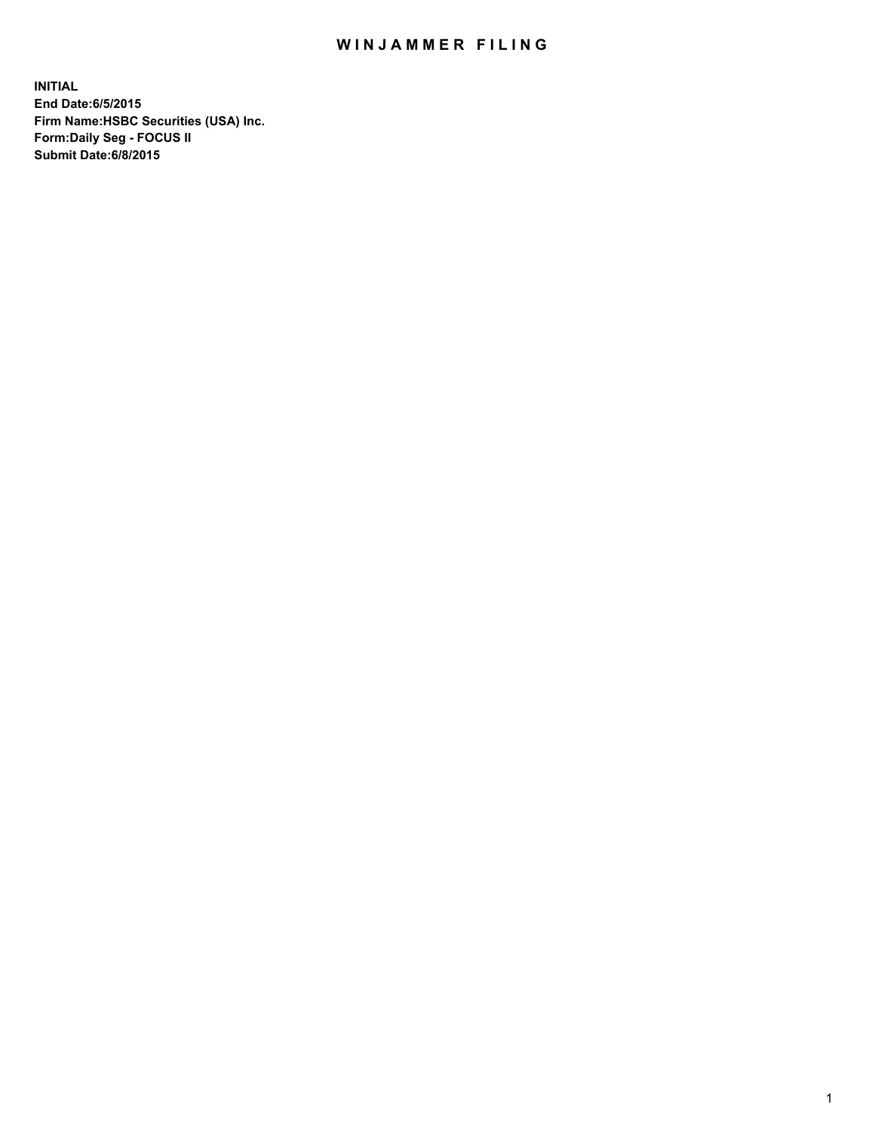## WIN JAMMER FILING

**INITIAL End Date:6/5/2015 Firm Name:HSBC Securities (USA) Inc. Form:Daily Seg - FOCUS II Submit Date:6/8/2015**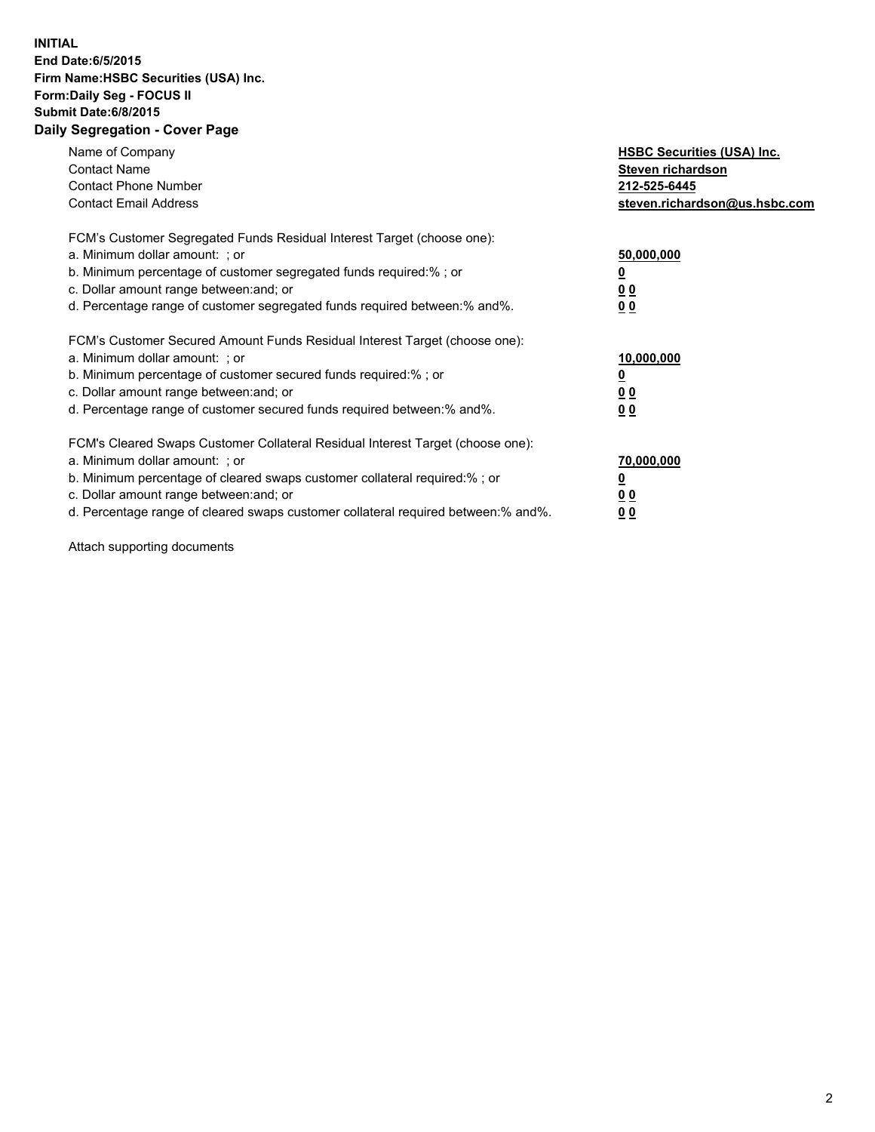## **INITIAL End Date:6/5/2015 Firm Name:HSBC Securities (USA) Inc. Form:Daily Seg - FOCUS II Submit Date:6/8/2015 Daily Segregation - Cover Page**

| Name of Company<br><b>Contact Name</b><br><b>Contact Phone Number</b><br><b>Contact Email Address</b>                                                                                                                                                                                                                         | <b>HSBC Securities (USA) Inc.</b><br>Steven richardson<br>212-525-6445<br>steven.richardson@us.hsbc.com |
|-------------------------------------------------------------------------------------------------------------------------------------------------------------------------------------------------------------------------------------------------------------------------------------------------------------------------------|---------------------------------------------------------------------------------------------------------|
| FCM's Customer Segregated Funds Residual Interest Target (choose one):<br>a. Minimum dollar amount: ; or<br>b. Minimum percentage of customer segregated funds required:% ; or<br>c. Dollar amount range between: and; or<br>d. Percentage range of customer segregated funds required between: % and %.                      | 50,000,000<br>00<br>0 <sub>0</sub>                                                                      |
| FCM's Customer Secured Amount Funds Residual Interest Target (choose one):<br>a. Minimum dollar amount: ; or<br>b. Minimum percentage of customer secured funds required:%; or<br>c. Dollar amount range between: and; or<br>d. Percentage range of customer secured funds required between:% and%.                           | 10,000,000<br>0 <sub>0</sub><br>0 <sub>0</sub>                                                          |
| FCM's Cleared Swaps Customer Collateral Residual Interest Target (choose one):<br>a. Minimum dollar amount: ; or<br>b. Minimum percentage of cleared swaps customer collateral required:%; or<br>c. Dollar amount range between: and; or<br>d. Percentage range of cleared swaps customer collateral required between:% and%. | 70,000,000<br>0 <sub>0</sub><br>00                                                                      |

Attach supporting documents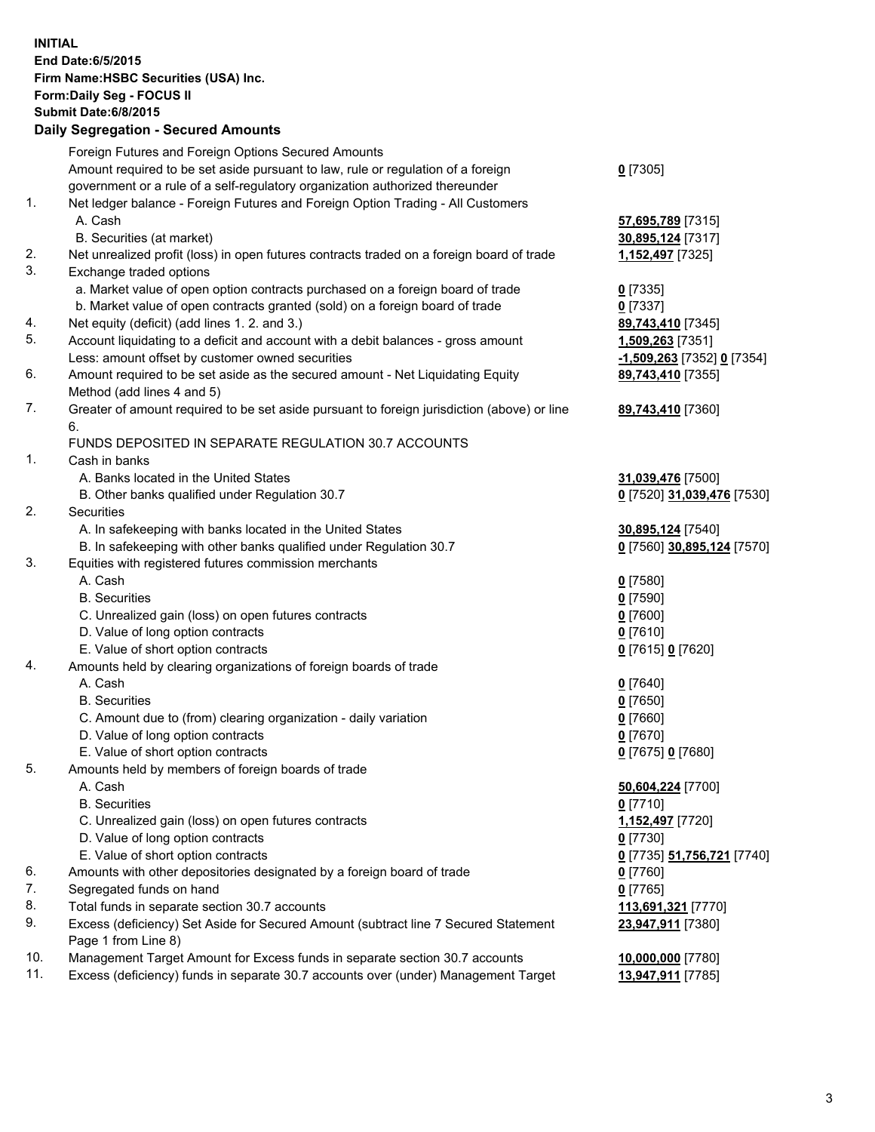**INITIAL End Date:6/5/2015 Firm Name:HSBC Securities (USA) Inc. Form:Daily Seg - FOCUS II Submit Date:6/8/2015 Daily Segregation - Secured Amounts** Foreign Futures and Foreign Options Secured Amounts Amount required to be set aside pursuant to law, rule or regulation of a foreign government or a rule of a self-regulatory organization authorized thereunder **0** [7305] 1. Net ledger balance - Foreign Futures and Foreign Option Trading - All Customers A. Cash **57,695,789** [7315] B. Securities (at market) **30,895,124** [7317] 2. Net unrealized profit (loss) in open futures contracts traded on a foreign board of trade **1,152,497** [7325] 3. Exchange traded options a. Market value of open option contracts purchased on a foreign board of trade **0** [7335] b. Market value of open contracts granted (sold) on a foreign board of trade **0** [7337] 4. Net equity (deficit) (add lines 1. 2. and 3.) **89,743,410** [7345] 5. Account liquidating to a deficit and account with a debit balances - gross amount **1,509,263** [7351] Less: amount offset by customer owned securities **-1,509,263** [7352] **0** [7354] 6. Amount required to be set aside as the secured amount - Net Liquidating Equity Method (add lines 4 and 5) **89,743,410** [7355] 7. Greater of amount required to be set aside pursuant to foreign jurisdiction (above) or line 6. **89,743,410** [7360] FUNDS DEPOSITED IN SEPARATE REGULATION 30.7 ACCOUNTS 1. Cash in banks A. Banks located in the United States **31,039,476** [7500] B. Other banks qualified under Regulation 30.7 **0** [7520] **31,039,476** [7530] 2. Securities A. In safekeeping with banks located in the United States **30,895,124** [7540] B. In safekeeping with other banks qualified under Regulation 30.7 **0** [7560] **30,895,124** [7570] 3. Equities with registered futures commission merchants A. Cash **0** [7580] B. Securities **0** [7590] C. Unrealized gain (loss) on open futures contracts **0** [7600] D. Value of long option contracts **0** [7610] E. Value of short option contracts **0** [7615] **0** [7620] 4. Amounts held by clearing organizations of foreign boards of trade A. Cash **0** [7640] B. Securities **0** [7650] C. Amount due to (from) clearing organization - daily variation **0** [7660] D. Value of long option contracts **0** [7670] E. Value of short option contracts **0** [7675] **0** [7680] 5. Amounts held by members of foreign boards of trade A. Cash **50,604,224** [7700] B. Securities **0** [7710] C. Unrealized gain (loss) on open futures contracts **1,152,497** [7720] D. Value of long option contracts **0** [7730] E. Value of short option contracts **0** [7735] **51,756,721** [7740] 6. Amounts with other depositories designated by a foreign board of trade **0** [7760] 7. Segregated funds on hand **0** [7765] 8. Total funds in separate section 30.7 accounts **113,691,321** [7770] 9. Excess (deficiency) Set Aside for Secured Amount (subtract line 7 Secured Statement Page 1 from Line 8) **23,947,911** [7380] 10. Management Target Amount for Excess funds in separate section 30.7 accounts **10,000,000** [7780] 11. Excess (deficiency) funds in separate 30.7 accounts over (under) Management Target **13,947,911** [7785]

3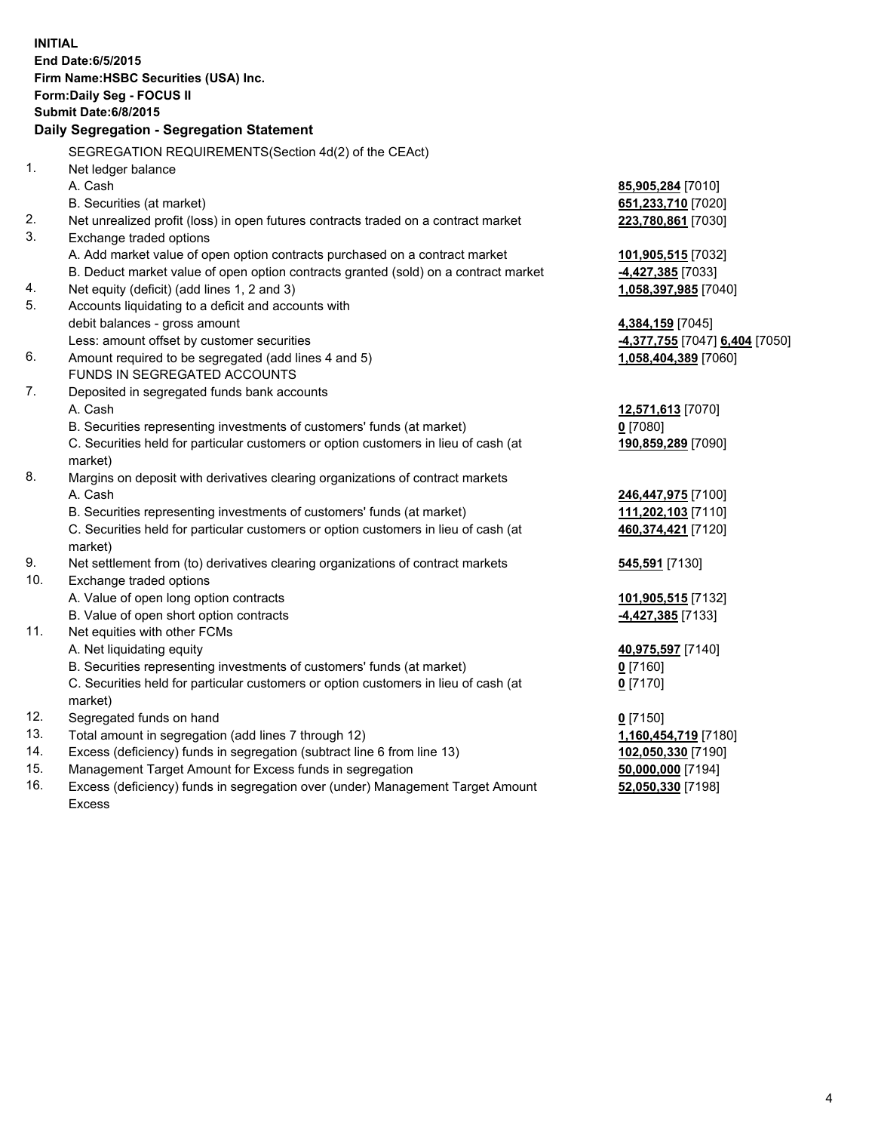| <b>INITIAL</b>                            |                                                                                     |                                |  |  |  |  |
|-------------------------------------------|-------------------------------------------------------------------------------------|--------------------------------|--|--|--|--|
| End Date: 6/5/2015                        |                                                                                     |                                |  |  |  |  |
|                                           | Firm Name: HSBC Securities (USA) Inc.                                               |                                |  |  |  |  |
| Form: Daily Seg - FOCUS II                |                                                                                     |                                |  |  |  |  |
| <b>Submit Date:6/8/2015</b>               |                                                                                     |                                |  |  |  |  |
| Daily Segregation - Segregation Statement |                                                                                     |                                |  |  |  |  |
|                                           | SEGREGATION REQUIREMENTS(Section 4d(2) of the CEAct)                                |                                |  |  |  |  |
| 1.                                        | Net ledger balance                                                                  |                                |  |  |  |  |
|                                           | A. Cash                                                                             | 85,905,284 [7010]              |  |  |  |  |
|                                           | B. Securities (at market)                                                           | 651,233,710 [7020]             |  |  |  |  |
| 2.                                        | Net unrealized profit (loss) in open futures contracts traded on a contract market  | 223,780,861 [7030]             |  |  |  |  |
| 3.                                        | Exchange traded options                                                             |                                |  |  |  |  |
|                                           | A. Add market value of open option contracts purchased on a contract market         | 101,905,515 [7032]             |  |  |  |  |
|                                           | B. Deduct market value of open option contracts granted (sold) on a contract market | 4,427,385 [7033]               |  |  |  |  |
| 4.                                        | Net equity (deficit) (add lines 1, 2 and 3)                                         | 1,058,397,985 [7040]           |  |  |  |  |
| 5.                                        | Accounts liquidating to a deficit and accounts with                                 |                                |  |  |  |  |
|                                           | debit balances - gross amount                                                       | 4,384,159 [7045]               |  |  |  |  |
|                                           | Less: amount offset by customer securities                                          | -4,377,755 [7047] 6,404 [7050] |  |  |  |  |
| 6.                                        | Amount required to be segregated (add lines 4 and 5)                                | 1,058,404,389 [7060]           |  |  |  |  |
|                                           | FUNDS IN SEGREGATED ACCOUNTS                                                        |                                |  |  |  |  |
| 7.                                        | Deposited in segregated funds bank accounts                                         |                                |  |  |  |  |
|                                           | A. Cash                                                                             | 12,571,613 [7070]              |  |  |  |  |
|                                           | B. Securities representing investments of customers' funds (at market)              | $0$ [7080]                     |  |  |  |  |
|                                           | C. Securities held for particular customers or option customers in lieu of cash (at | 190,859,289 [7090]             |  |  |  |  |
|                                           | market)                                                                             |                                |  |  |  |  |
| 8.                                        | Margins on deposit with derivatives clearing organizations of contract markets      |                                |  |  |  |  |
|                                           | A. Cash                                                                             | 246,447,975 [7100]             |  |  |  |  |
|                                           | B. Securities representing investments of customers' funds (at market)              | 111,202,103 [7110]             |  |  |  |  |
|                                           | C. Securities held for particular customers or option customers in lieu of cash (at | 460,374,421 [7120]             |  |  |  |  |
|                                           | market)                                                                             |                                |  |  |  |  |
| 9.                                        | Net settlement from (to) derivatives clearing organizations of contract markets     | 545,591 [7130]                 |  |  |  |  |
| 10.                                       | Exchange traded options                                                             |                                |  |  |  |  |
|                                           | A. Value of open long option contracts                                              | 101,905,515 [7132]             |  |  |  |  |
|                                           | B. Value of open short option contracts                                             | 4,427,385 [7133]               |  |  |  |  |
| 11.                                       | Net equities with other FCMs                                                        |                                |  |  |  |  |
|                                           | A. Net liquidating equity                                                           | 40,975,597 [7140]              |  |  |  |  |
|                                           | B. Securities representing investments of customers' funds (at market)              | 0 <sup>[7160]</sup>            |  |  |  |  |
|                                           | C. Securities held for particular customers or option customers in lieu of cash (at | $0$ [7170]                     |  |  |  |  |
|                                           | market)                                                                             |                                |  |  |  |  |
| 12.                                       | Segregated funds on hand                                                            | $0$ [7150]                     |  |  |  |  |
| 13.                                       | Total amount in segregation (add lines 7 through 12)                                | 1,160,454,719 [7180]           |  |  |  |  |
| 14.                                       | Excess (deficiency) funds in segregation (subtract line 6 from line 13)             | 102,050,330 [7190]             |  |  |  |  |
| 15.                                       | Management Target Amount for Excess funds in segregation                            | 50,000,000 [7194]              |  |  |  |  |

16. Excess (deficiency) funds in segregation over (under) Management Target Amount Excess

**52,050,330** [7198]